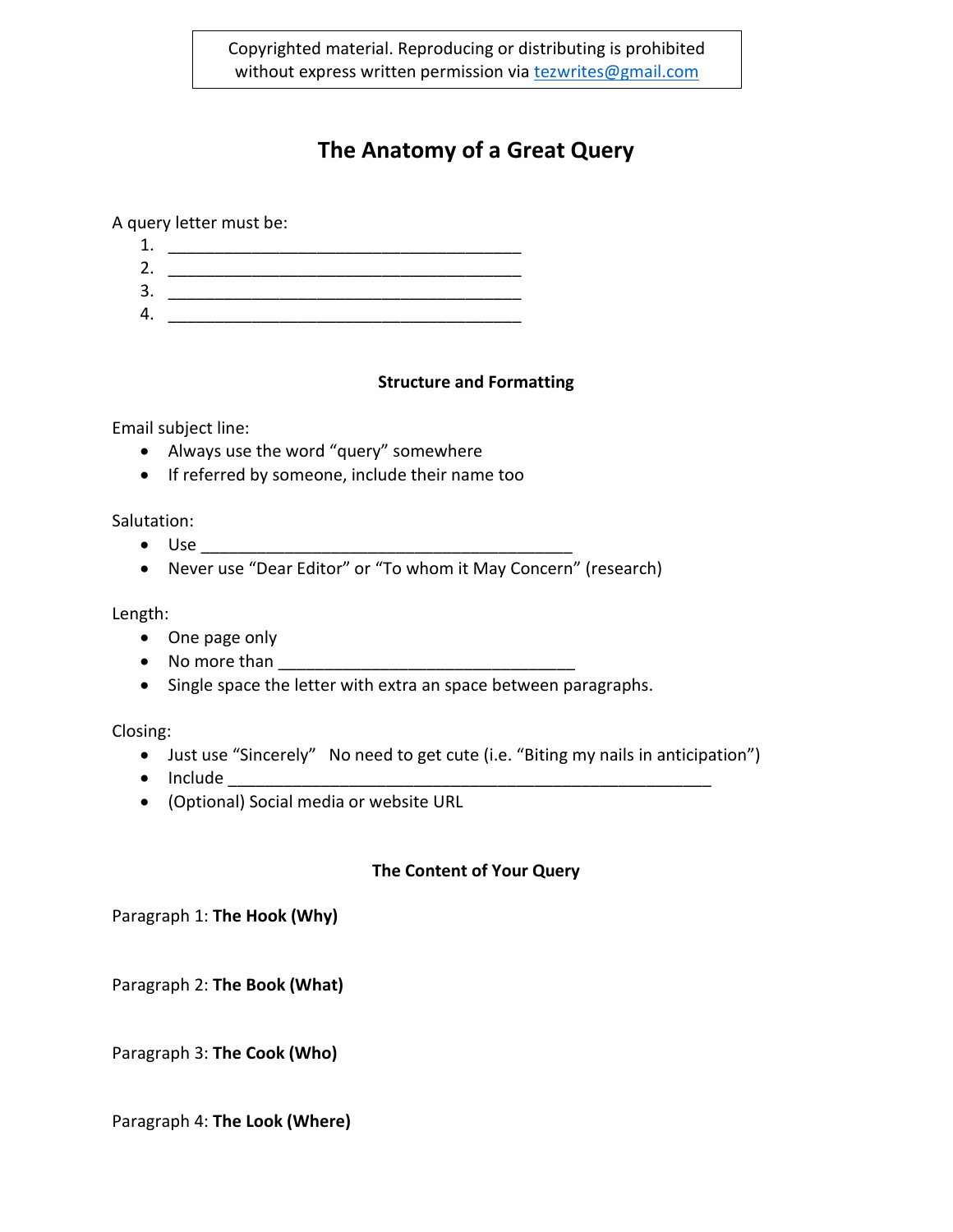Copyrighted material. Reproducing or distributing is prohibited without express written permission via [tezwrites@gmail.com](mailto:tezwrites@gmail.cm)

## **The Anatomy of a Great Query**

A query letter must be:

| J. |  |
|----|--|
|    |  |

## **Structure and Formatting**

Email subject line:

- Always use the word "query" somewhere
- If referred by someone, include their name too

Salutation:

- $\bullet$  Use
- Never use "Dear Editor" or "To whom it May Concern" (research)

Length:

- One page only
- No more than  $\bullet$
- Single space the letter with extra an space between paragraphs.

Closing:

- Just use "Sincerely" No need to get cute (i.e. "Biting my nails in anticipation")
- $\bullet$  Include
- (Optional) Social media or website URL

## **The Content of Your Query**

Paragraph 1: **The Hook (Why)** 

Paragraph 2: **The Book (What)** 

Paragraph 3: **The Cook (Who)**

Paragraph 4: **The Look (Where)**